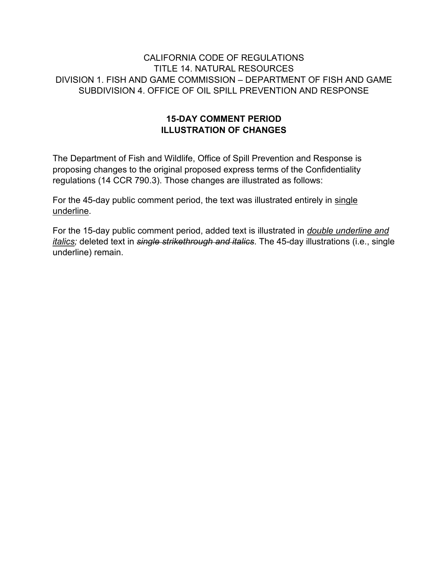## CALIFORNIA CODE OF REGULATIONS TITLE 14. NATURAL RESOURCES DIVISION 1. FISH AND GAME COMMISSION – DEPARTMENT OF FISH AND GAME SUBDIVISION 4. OFFICE OF OIL SPILL PREVENTION AND RESPONSE

## **15-DAY COMMENT PERIOD ILLUSTRATION OF CHANGES**

The Department of Fish and Wildlife, Office of Spill Prevention and Response is proposing changes to the original proposed express terms of the Confidentiality regulations (14 CCR 790.3). Those changes are illustrated as follows:

For the 45-day public comment period, the text was illustrated entirely in single underline.

For the 15-day public comment period, added text is illustrated in *double underline and italics;* deleted text in *single strikethrough and italics*. The 45-day illustrations (i.e., single underline) remain.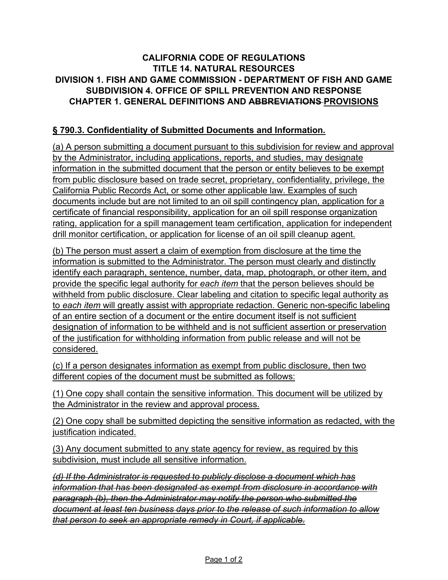## **CALIFORNIA CODE OF REGULATIONS TITLE 14. NATURAL RESOURCES DIVISION 1. FISH AND GAME COMMISSION - DEPARTMENT OF FISH AND GAME SUBDIVISION 4. OFFICE OF SPILL PREVENTION AND RESPONSE CHAPTER 1. GENERAL DEFINITIONS AND ABBREVIATIONS PROVISIONS**

## **§ 790.3. Confidentiality of Submitted Documents and Information.**

(a) A person submitting a document pursuant to this subdivision for review and approval by the Administrator, including applications, reports, and studies, may designate information in the submitted document that the person or entity believes to be exempt from public disclosure based on trade secret, proprietary, confidentiality, privilege, the California Public Records Act, or some other applicable law. Examples of such documents include but are not limited to an oil spill contingency plan, application for a certificate of financial responsibility, application for an oil spill response organization rating, application for a spill management team certification, application for independent drill monitor certification, or application for license of an oil spill cleanup agent.

(b) The person must assert a claim of exemption from disclosure at the time the information is submitted to the Administrator. The person must clearly and distinctly identify each paragraph, sentence, number, data, map, photograph, or other item, and provide the specific legal authority for *each item* that the person believes should be withheld from public disclosure. Clear labeling and citation to specific legal authority as to *each item* will greatly assist with appropriate redaction. Generic non-specific labeling of an entire section of a document or the entire document itself is not sufficient designation of information to be withheld and is not sufficient assertion or preservation of the justification for withholding information from public release and will not be considered.

(c) If a person designates information as exempt from public disclosure, then two different copies of the document must be submitted as follows:

(1) One copy shall contain the sensitive information. This document will be utilized by the Administrator in the review and approval process.

(2) One copy shall be submitted depicting the sensitive information as redacted, with the justification indicated.

(3) Any document submitted to any state agency for review, as required by this subdivision, must include all sensitive information.

*(d) If the Administrator is requested to publicly disclose a document which has information that has been designated as exempt from disclosure in accordance with paragraph (b), then the Administrator may notify the person who submitted the document at least ten business days prior to the release of such information to allow that person to seek an appropriate remedy in Court, if applicable.*